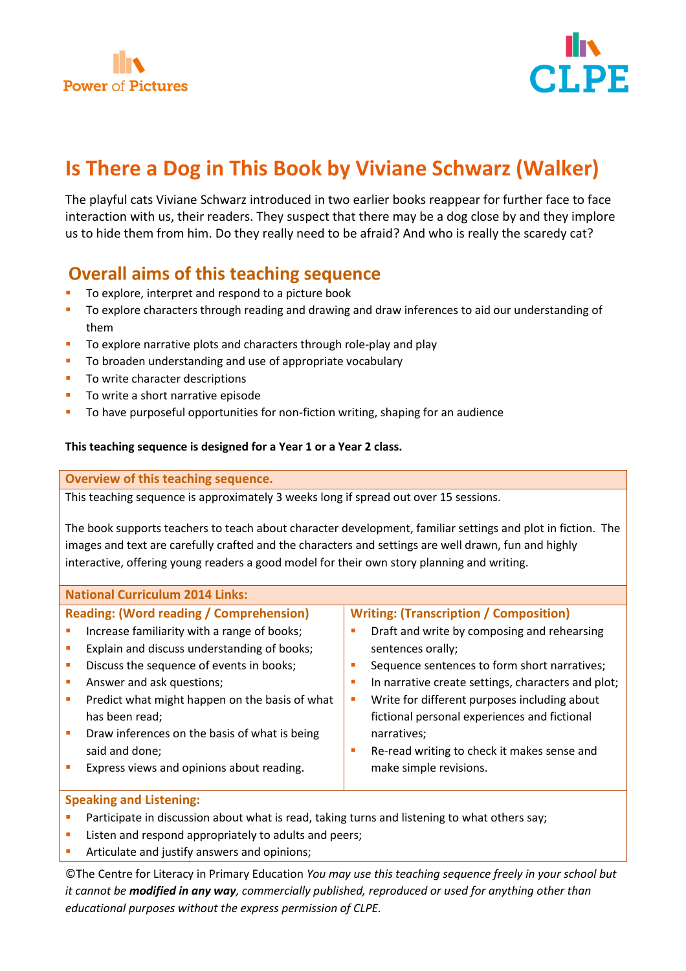



# **Is There a Dog in This Book by Viviane Schwarz (Walker)**

The playful cats Viviane Schwarz introduced in two earlier books reappear for further face to face interaction with us, their readers. They suspect that there may be a dog close by and they implore us to hide them from him. Do they really need to be afraid? And who is really the scaredy cat?

# **Overall aims of this teaching sequence**

- To explore, interpret and respond to a picture book
- **T** To explore characters through reading and drawing and draw inferences to aid our understanding of them
- To explore narrative plots and characters through role-play and play
- **To broaden understanding and use of appropriate vocabulary**
- **TO write character descriptions**
- To write a short narrative episode
- To have purposeful opportunities for non-fiction writing, shaping for an audience

# **This teaching sequence is designed for a Year 1 or a Year 2 class.**

# **Overview of this teaching sequence.**

This teaching sequence is approximately 3 weeks long if spread out over 15 sessions.

The book supports teachers to teach about character development, familiar settings and plot in fiction. The images and text are carefully crafted and the characters and settings are well drawn, fun and highly interactive, offering young readers a good model for their own story planning and writing.

| <b>National Curriculum 2014 Links:</b>                                |                                                    |
|-----------------------------------------------------------------------|----------------------------------------------------|
| <b>Reading: (Word reading / Comprehension)</b>                        | <b>Writing: (Transcription / Composition)</b>      |
| Increase familiarity with a range of books;<br>×                      | Draft and write by composing and rehearsing        |
| Explain and discuss understanding of books;<br>T.                     | sentences orally;                                  |
| Discuss the sequence of events in books;<br>п                         | Sequence sentences to form short narratives;       |
| Answer and ask questions;<br>×                                        | In narrative create settings, characters and plot; |
| Predict what might happen on the basis of what<br>п                   | Write for different purposes including about<br>a. |
| has been read;                                                        | fictional personal experiences and fictional       |
| Draw inferences on the basis of what is being<br>×                    | narratives;                                        |
| said and done;                                                        | Re-read writing to check it makes sense and        |
| Express views and opinions about reading.<br>$\overline{\phantom{a}}$ | make simple revisions.                             |
|                                                                       |                                                    |
| <b>Speaking and Listening:</b>                                        |                                                    |

# Participate in discussion about what is read, taking turns and listening to what others say;

- Listen and respond appropriately to adults and peers;
- Articulate and justify answers and opinions;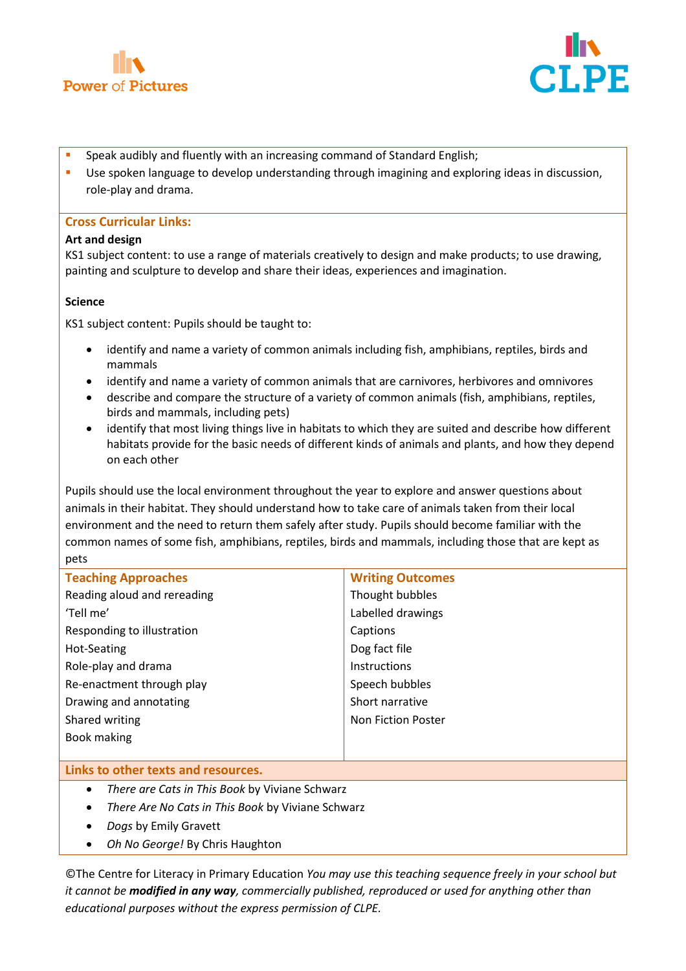



- Speak audibly and fluently with an increasing command of Standard English;
- **Use spoken language to develop understanding through imagining and exploring ideas in discussion,** role-play and drama.

#### **Cross Curricular Links:**

#### **Art and design**

KS1 subject content: to use a range of materials creatively to design and make products; to use drawing, painting and sculpture to develop and share their ideas, experiences and imagination.

#### **Science**

KS1 subject content: Pupils should be taught to:

- identify and name a variety of common animals including fish, amphibians, reptiles, birds and mammals
- identify and name a variety of common animals that are carnivores, herbivores and omnivores
- describe and compare the structure of a variety of common animals (fish, amphibians, reptiles, birds and mammals, including pets)
- identify that most living things live in habitats to which they are suited and describe how different habitats provide for the basic needs of different kinds of animals and plants, and how they depend on each other

Pupils should use the local environment throughout the year to explore and answer questions about animals in their habitat. They should understand how to take care of animals taken from their local environment and the need to return them safely after study. Pupils should become familiar with the common names of some fish, amphibians, reptiles, birds and mammals, including those that are kept as pets

| <b>Teaching Approaches</b>          | <b>Writing Outcomes</b>   |
|-------------------------------------|---------------------------|
| Reading aloud and rereading         | Thought bubbles           |
| 'Tell me'                           | Labelled drawings         |
| Responding to illustration          | Captions                  |
| Hot-Seating                         | Dog fact file             |
| Role-play and drama                 | Instructions              |
| Re-enactment through play           | Speech bubbles            |
| Drawing and annotating              | Short narrative           |
| Shared writing                      | <b>Non Fiction Poster</b> |
| Book making                         |                           |
|                                     |                           |
| Links to other texts and resources. |                           |

- *There are Cats in This Book* by Viviane Schwarz
- *There Are No Cats in This Book* by Viviane Schwarz
- *Dogs* by Emily Gravett
- *Oh No George!* By Chris Haughton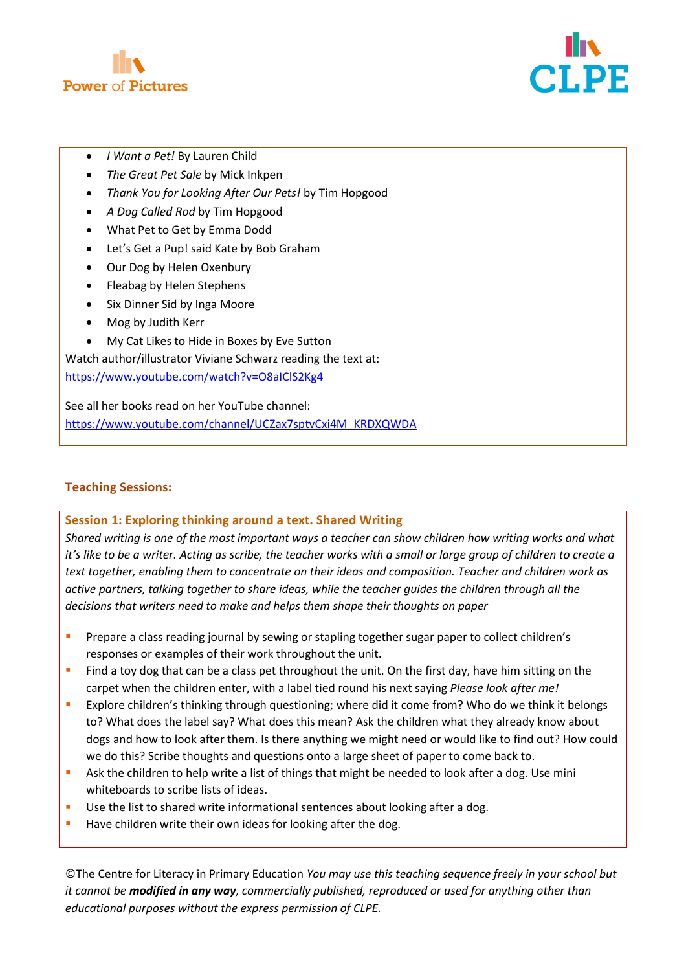



- *I Want a Pet!* By Lauren Child
- *The Great Pet Sale* by Mick Inkpen
- *Thank You for Looking After Our Pets!* by Tim Hopgood
- *A Dog Called Rod* by Tim Hopgood
- What Pet to Get by Emma Dodd
- Let's Get a Pup! said Kate by Bob Graham
- Our Dog by Helen Oxenbury
- Fleabag by Helen Stephens
- Six Dinner Sid by Inga Moore
- Mog by Judith Kerr
- My Cat Likes to Hide in Boxes by Eve Sutton

Watch author/illustrator Viviane Schwarz reading the text at: <https://www.youtube.com/watch?v=O8aIClS2Kg4>

See all her books read on her YouTube channel: [https://www.youtube.com/channel/UCZax7sptvCxi4M\\_KRDXQWDA](https://www.youtube.com/channel/UCZax7sptvCxi4M_KRDXQWDA)

# **Teaching Sessions:**

#### **Session 1: Exploring thinking around a text. Shared Writing**

*Shared writing is one of the most important ways a teacher can show children how writing works and what it's like to be a writer. Acting as scribe, the teacher works with a small or large group of children to create a text together, enabling them to concentrate on their ideas and composition. Teacher and children work as active partners, talking together to share ideas, while the teacher guides the children through all the decisions that writers need to make and helps them shape their thoughts on paper*

- **Prepare a class reading journal by sewing or stapling together sugar paper to collect children's** responses or examples of their work throughout the unit.
- **Find a toy dog that can be a class pet throughout the unit. On the first day, have him sitting on the** carpet when the children enter, with a label tied round his next saying *Please look after me!*
- **Explore children's thinking through questioning; where did it come from? Who do we think it belongs** to? What does the label say? What does this mean? Ask the children what they already know about dogs and how to look after them. Is there anything we might need or would like to find out? How could we do this? Scribe thoughts and questions onto a large sheet of paper to come back to.
- Ask the children to help write a list of things that might be needed to look after a dog. Use mini whiteboards to scribe lists of ideas.
- Use the list to shared write informational sentences about looking after a dog.
- Have children write their own ideas for looking after the dog.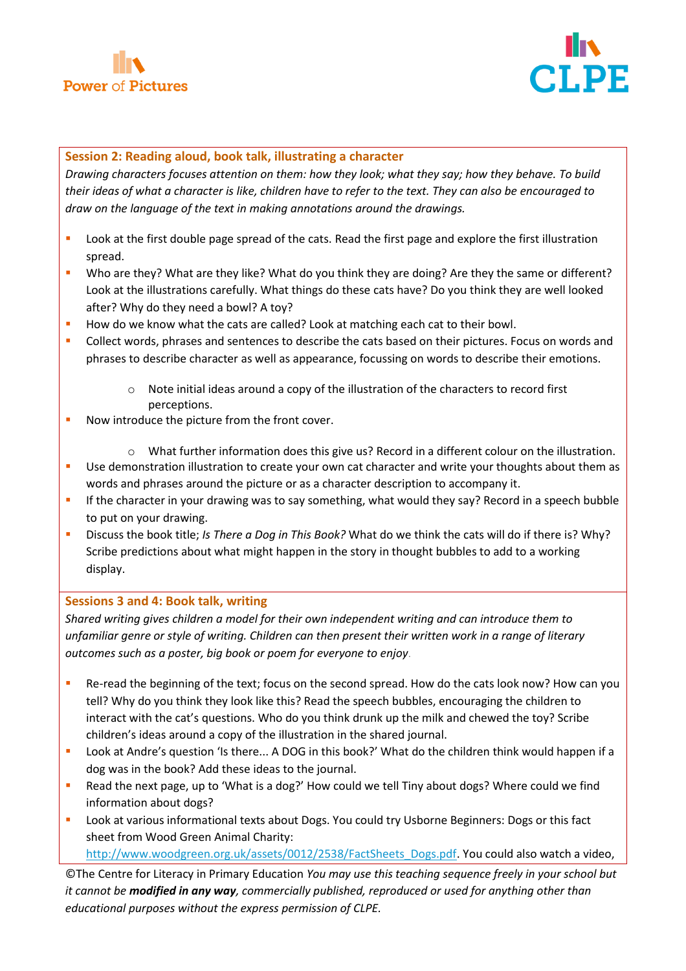



# **Session 2: Reading aloud, book talk, illustrating a character**

*Drawing characters focuses attention on them: how they look; what they say; how they behave. To build their ideas of what a character is like, children have to refer to the text. They can also be encouraged to draw on the language of the text in making annotations around the drawings.*

- **Look at the first double page spread of the cats. Read the first page and explore the first illustration** spread.
- Who are they? What are they like? What do you think they are doing? Are they the same or different? Look at the illustrations carefully. What things do these cats have? Do you think they are well looked after? Why do they need a bowl? A toy?
- How do we know what the cats are called? Look at matching each cat to their bowl.
- **Collect words, phrases and sentences to describe the cats based on their pictures. Focus on words and** phrases to describe character as well as appearance, focussing on words to describe their emotions.
	- o Note initial ideas around a copy of the illustration of the characters to record first perceptions.
- Now introduce the picture from the front cover.
	- $\circ$  What further information does this give us? Record in a different colour on the illustration.
- **Use demonstration illustration to create your own cat character and write your thoughts about them as** words and phrases around the picture or as a character description to accompany it.
- **If the character in your drawing was to say something, what would they say? Record in a speech bubble** to put on your drawing.
- Discuss the book title; *Is There a Dog in This Book?* What do we think the cats will do if there is? Why? Scribe predictions about what might happen in the story in thought bubbles to add to a working display.

#### **Sessions 3 and 4: Book talk, writing**

*Shared writing gives children a model for their own independent writing and can introduce them to unfamiliar genre or style of writing. Children can then present their written work in a range of literary outcomes such as a poster, big book or poem for everyone to enjoy*.

- **Re-read the beginning of the text; focus on the second spread. How do the cats look now? How can you** tell? Why do you think they look like this? Read the speech bubbles, encouraging the children to interact with the cat's questions. Who do you think drunk up the milk and chewed the toy? Scribe children's ideas around a copy of the illustration in the shared journal.
- **Look at Andre's question 'Is there... A DOG in this book?' What do the children think would happen if a** dog was in the book? Add these ideas to the journal.
- Read the next page, up to 'What is a dog?' How could we tell Tiny about dogs? Where could we find information about dogs?
- Look at various informational texts about Dogs. You could try Usborne Beginners: Dogs or this fact sheet from Wood Green Animal Charity:

[http://www.woodgreen.org.uk/assets/0012/2538/FactSheets\\_Dogs.pdf.](http://www.woodgreen.org.uk/assets/0012/2538/FactSheets_Dogs.pdf) You could also watch a video,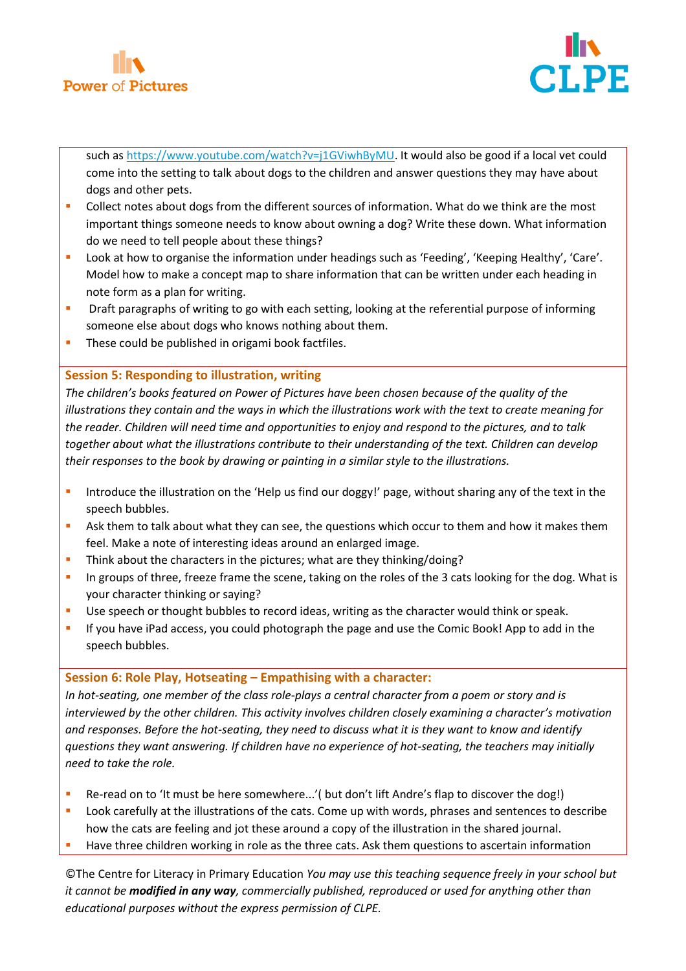



such as [https://www.youtube.com/watch?v=j1GViwhByMU.](https://www.youtube.com/watch?v=j1GViwhByMU) It would also be good if a local vet could come into the setting to talk about dogs to the children and answer questions they may have about dogs and other pets.

- Collect notes about dogs from the different sources of information. What do we think are the most important things someone needs to know about owning a dog? Write these down. What information do we need to tell people about these things?
- **Look at how to organise the information under headings such as 'Feeding', 'Keeping Healthy', 'Care'.** Model how to make a concept map to share information that can be written under each heading in note form as a plan for writing.
- **•** Draft paragraphs of writing to go with each setting, looking at the referential purpose of informing someone else about dogs who knows nothing about them.
- **These could be published in origami book factfiles.**

# **Session 5: Responding to illustration, writing**

*The children's books featured on Power of Pictures have been chosen because of the quality of the illustrations they contain and the ways in which the illustrations work with the text to create meaning for the reader. Children will need time and opportunities to enjoy and respond to the pictures, and to talk together about what the illustrations contribute to their understanding of the text. Children can develop their responses to the book by drawing or painting in a similar style to the illustrations.*

- Introduce the illustration on the 'Help us find our doggy!' page, without sharing any of the text in the speech bubbles.
- **Ask them to talk about what they can see, the questions which occur to them and how it makes them** feel. Make a note of interesting ideas around an enlarged image.
- Think about the characters in the pictures; what are they thinking/doing?
- In groups of three, freeze frame the scene, taking on the roles of the 3 cats looking for the dog. What is your character thinking or saying?
- Use speech or thought bubbles to record ideas, writing as the character would think or speak.
- If you have iPad access, you could photograph the page and use the Comic Book! App to add in the speech bubbles.

# **Session 6: Role Play, Hotseating – Empathising with a character:**

*In hot-seating, one member of the class role-plays a central character from a poem or story and is interviewed by the other children. This activity involves children closely examining a character's motivation and responses. Before the hot-seating, they need to discuss what it is they want to know and identify questions they want answering. If children have no experience of hot-seating, the teachers may initially need to take the role.*

- Re-read on to 'It must be here somewhere...'( but don't lift Andre's flap to discover the dog!)
- Look carefully at the illustrations of the cats. Come up with words, phrases and sentences to describe how the cats are feeling and jot these around a copy of the illustration in the shared journal.
- Have three children working in role as the three cats. Ask them questions to ascertain information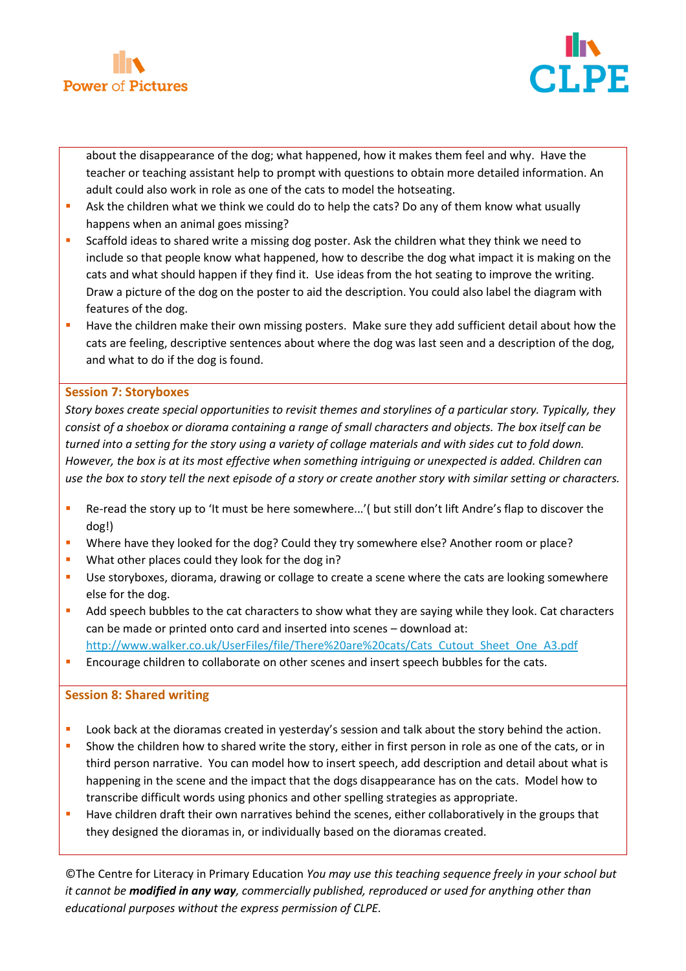



about the disappearance of the dog; what happened, how it makes them feel and why. Have the teacher or teaching assistant help to prompt with questions to obtain more detailed information. An adult could also work in role as one of the cats to model the hotseating.

- **Ask the children what we think we could do to help the cats? Do any of them know what usually** happens when an animal goes missing?
- **Scaffold ideas to shared write a missing dog poster. Ask the children what they think we need to** include so that people know what happened, how to describe the dog what impact it is making on the cats and what should happen if they find it. Use ideas from the hot seating to improve the writing. Draw a picture of the dog on the poster to aid the description. You could also label the diagram with features of the dog.
- **Have the children make their own missing posters. Make sure they add sufficient detail about how the** cats are feeling, descriptive sentences about where the dog was last seen and a description of the dog, and what to do if the dog is found.

# **Session 7: Storyboxes**

*Story boxes create special opportunities to revisit themes and storylines of a particular story. Typically, they consist of a shoebox or diorama containing a range of small characters and objects. The box itself can be turned into a setting for the story using a variety of collage materials and with sides cut to fold down. However, the box is at its most effective when something intriguing or unexpected is added. Children can use the box to story tell the next episode of a story or create another story with similar setting or characters.*

- Re-read the story up to 'It must be here somewhere...'( but still don't lift Andre's flap to discover the dog!)
- Where have they looked for the dog? Could they try somewhere else? Another room or place?
- What other places could they look for the dog in?
- **Use storyboxes, diorama, drawing or collage to create a scene where the cats are looking somewhere** else for the dog.
- Add speech bubbles to the cat characters to show what they are saying while they look. Cat characters can be made or printed onto card and inserted into scenes – download at: [http://www.walker.co.uk/UserFiles/file/There%20are%20cats/Cats\\_Cutout\\_Sheet\\_One\\_A3.pdf](http://www.walker.co.uk/UserFiles/file/There%20are%20cats/Cats_Cutout_Sheet_One_A3.pdf)
- **Encourage children to collaborate on other scenes and insert speech bubbles for the cats.**

#### **Session 8: Shared writing**

- **Look back at the dioramas created in yesterday's session and talk about the story behind the action.**
- **Show the children how to shared write the story, either in first person in role as one of the cats, or in** third person narrative. You can model how to insert speech, add description and detail about what is happening in the scene and the impact that the dogs disappearance has on the cats. Model how to transcribe difficult words using phonics and other spelling strategies as appropriate.
- **Have children draft their own narratives behind the scenes, either collaboratively in the groups that** they designed the dioramas in, or individually based on the dioramas created.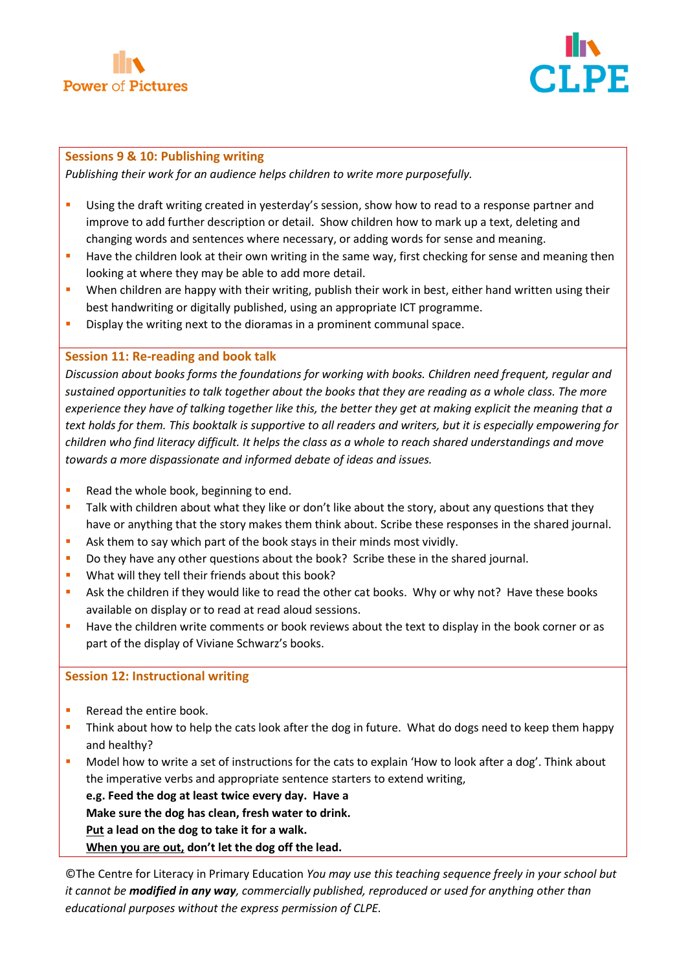



#### **Sessions 9 & 10: Publishing writing**

*Publishing their work for an audience helps children to write more purposefully.*

- Using the draft writing created in yesterday's session, show how to read to a response partner and improve to add further description or detail. Show children how to mark up a text, deleting and changing words and sentences where necessary, or adding words for sense and meaning.
- **Have the children look at their own writing in the same way, first checking for sense and meaning then** looking at where they may be able to add more detail.
- **•** When children are happy with their writing, publish their work in best, either hand written using their best handwriting or digitally published, using an appropriate ICT programme.
- **Display the writing next to the dioramas in a prominent communal space.**

# **Session 11: Re-reading and book talk**

*Discussion about books forms the foundations for working with books. Children need frequent, regular and sustained opportunities to talk together about the books that they are reading as a whole class. The more experience they have of talking together like this, the better they get at making explicit the meaning that a text holds for them. This booktalk is supportive to all readers and writers, but it is especially empowering for children who find literacy difficult. It helps the class as a whole to reach shared understandings and move towards a more dispassionate and informed debate of ideas and issues.*

- Read the whole book, beginning to end.
- **Talk with children about what they like or don't like about the story, about any questions that they** have or anything that the story makes them think about. Scribe these responses in the shared journal.
- Ask them to say which part of the book stays in their minds most vividly.
- Do they have any other questions about the book? Scribe these in the shared journal.
- What will they tell their friends about this book?
- Ask the children if they would like to read the other cat books. Why or why not? Have these books available on display or to read at read aloud sessions.
- Have the children write comments or book reviews about the text to display in the book corner or as part of the display of Viviane Schwarz's books.

# **Session 12: Instructional writing**

- **Reread the entire book.**
- Think about how to help the cats look after the dog in future. What do dogs need to keep them happy and healthy?
- Model how to write a set of instructions for the cats to explain 'How to look after a dog'. Think about the imperative verbs and appropriate sentence starters to extend writing,

**e.g. Feed the dog at least twice every day. Have a**

**Make sure the dog has clean, fresh water to drink.**

**Put a lead on the dog to take it for a walk.**

**When you are out, don't let the dog off the lead.**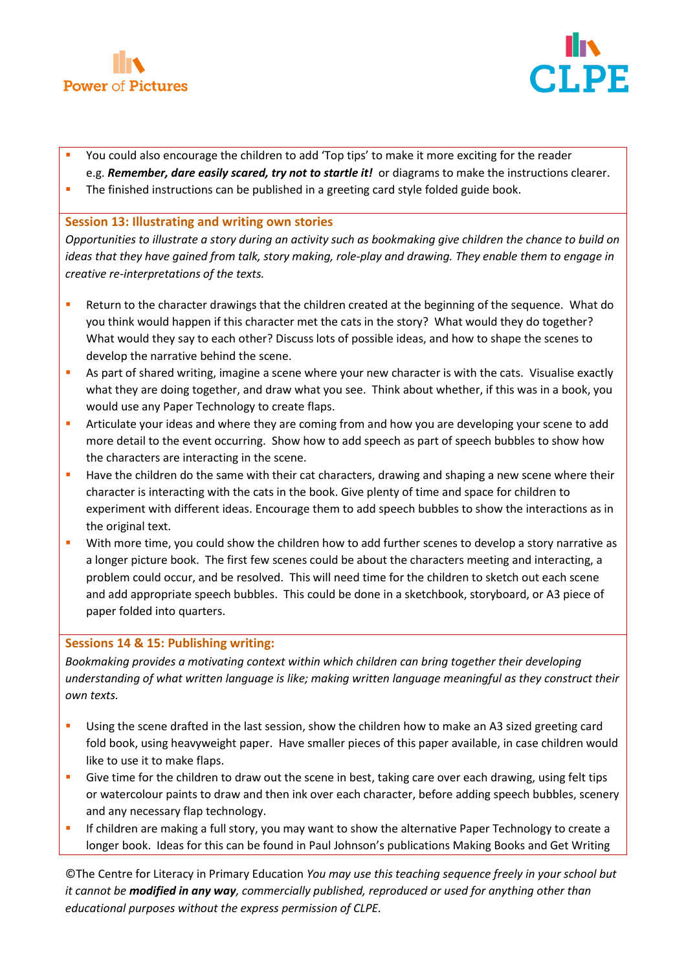



- You could also encourage the children to add 'Top tips' to make it more exciting for the reader e.g. *Remember, dare easily scared, try not to startle it!* or diagrams to make the instructions clearer.
- The finished instructions can be published in a greeting card style folded guide book.

# **Session 13: Illustrating and writing own stories**

*Opportunities to illustrate a story during an activity such as bookmaking give children the chance to build on ideas that they have gained from talk, story making, role-play and drawing. They enable them to engage in creative re-interpretations of the texts.*

- Return to the character drawings that the children created at the beginning of the sequence. What do you think would happen if this character met the cats in the story? What would they do together? What would they say to each other? Discuss lots of possible ideas, and how to shape the scenes to develop the narrative behind the scene.
- As part of shared writing, imagine a scene where your new character is with the cats. Visualise exactly what they are doing together, and draw what you see. Think about whether, if this was in a book, you would use any Paper Technology to create flaps.
- Articulate your ideas and where they are coming from and how you are developing your scene to add more detail to the event occurring. Show how to add speech as part of speech bubbles to show how the characters are interacting in the scene.
- **Have the children do the same with their cat characters, drawing and shaping a new scene where their** character is interacting with the cats in the book. Give plenty of time and space for children to experiment with different ideas. Encourage them to add speech bubbles to show the interactions as in the original text.
- With more time, you could show the children how to add further scenes to develop a story narrative as a longer picture book. The first few scenes could be about the characters meeting and interacting, a problem could occur, and be resolved. This will need time for the children to sketch out each scene and add appropriate speech bubbles. This could be done in a sketchbook, storyboard, or A3 piece of paper folded into quarters.

# **Sessions 14 & 15: Publishing writing:**

*Bookmaking provides a motivating context within which children can bring together their developing understanding of what written language is like; making written language meaningful as they construct their own texts.*

- Using the scene drafted in the last session, show the children how to make an A3 sized greeting card fold book, using heavyweight paper. Have smaller pieces of this paper available, in case children would like to use it to make flaps.
- Give time for the children to draw out the scene in best, taking care over each drawing, using felt tips or watercolour paints to draw and then ink over each character, before adding speech bubbles, scenery and any necessary flap technology.
- If children are making a full story, you may want to show the alternative Paper Technology to create a longer book. Ideas for this can be found in Paul Johnson's publications Making Books and Get Writing